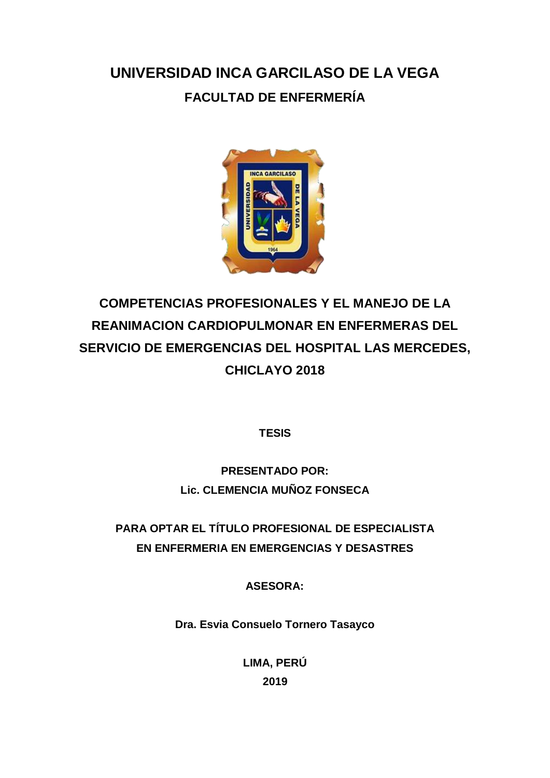## **UNIVERSIDAD INCA GARCILASO DE LA VEGA FACULTAD DE ENFERMERÍA**



# **COMPETENCIAS PROFESIONALES Y EL MANEJO DE LA REANIMACION CARDIOPULMONAR EN ENFERMERAS DEL SERVICIO DE EMERGENCIAS DEL HOSPITAL LAS MERCEDES, CHICLAYO 2018**

**TESIS** 

### **PRESENTADO POR: Lic. CLEMENCIA MUÑOZ FONSECA**

### **PARA OPTAR EL TÍTULO PROFESIONAL DE ESPECIALISTA EN ENFERMERIA EN EMERGENCIAS Y DESASTRES**

**ASESORA:**

**Dra. Esvia Consuelo Tornero Tasayco** 

**LIMA, PERÚ 2019**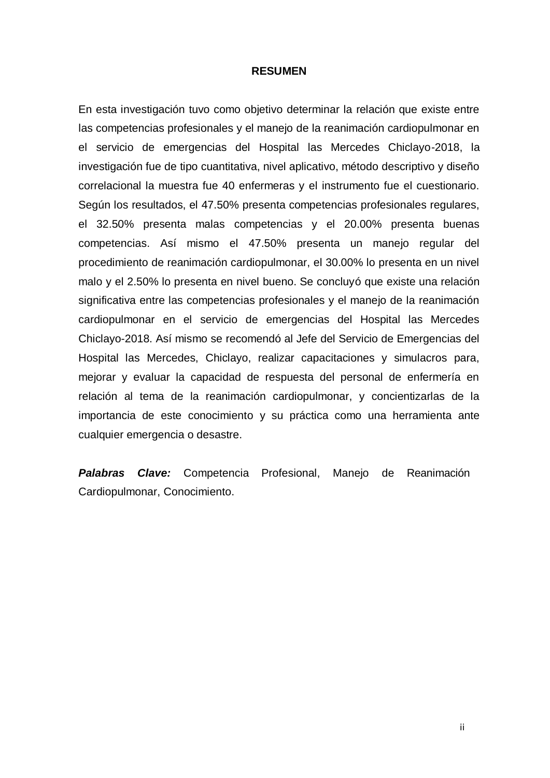#### **RESUMEN**

En esta investigación tuvo como objetivo determinar la relación que existe entre las competencias profesionales y el manejo de la reanimación cardiopulmonar en el servicio de emergencias del Hospital las Mercedes Chiclayo-2018, la investigación fue de tipo cuantitativa, nivel aplicativo, método descriptivo y diseño correlacional la muestra fue 40 enfermeras y el instrumento fue el cuestionario. Según los resultados, el 47.50% presenta competencias profesionales regulares, el 32.50% presenta malas competencias y el 20.00% presenta buenas competencias. Así mismo el 47.50% presenta un manejo regular del procedimiento de reanimación cardiopulmonar, el 30.00% lo presenta en un nivel malo y el 2.50% lo presenta en nivel bueno. Se concluyó que existe una relación significativa entre las competencias profesionales y el manejo de la reanimación cardiopulmonar en el servicio de emergencias del Hospital las Mercedes Chiclayo-2018. Así mismo se recomendó al Jefe del Servicio de Emergencias del Hospital las Mercedes, Chiclayo, realizar capacitaciones y simulacros para, mejorar y evaluar la capacidad de respuesta del personal de enfermería en relación al tema de la reanimación cardiopulmonar, y concientizarlas de la importancia de este conocimiento y su práctica como una herramienta ante cualquier emergencia o desastre.

*Palabras Clave:* Competencia Profesional, Manejo de Reanimación Cardiopulmonar, Conocimiento.